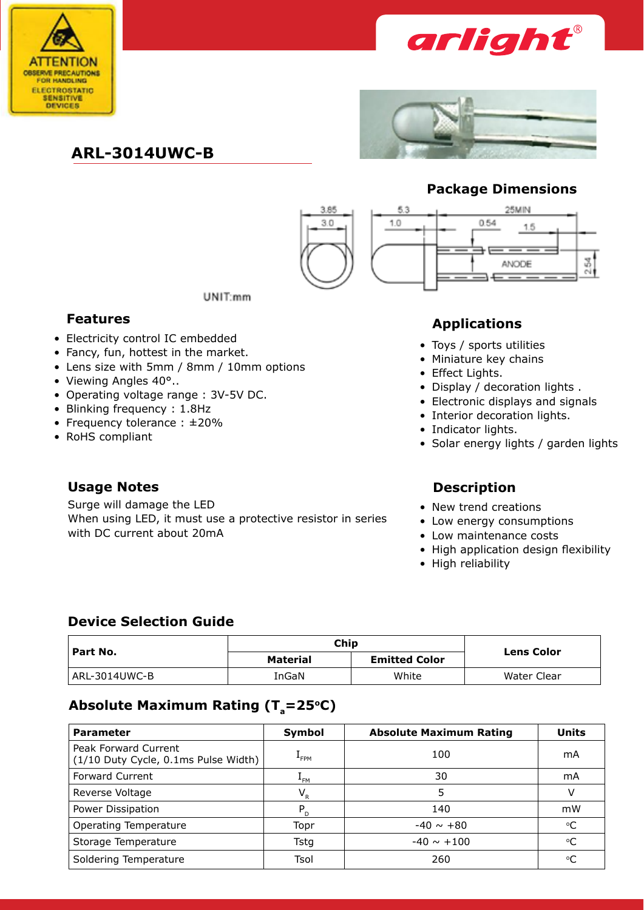



# **ARL-3014UWC-B**



## **Package Dimensions**

0.54

25MIN

ANODE

 $1.5$ 

3

Ñ



53

10

- Electricity control IC embedded
- Fancy, fun, hottest in the market.
- Lens size with 5mm / 8mm / 10mm options
- Viewing Angles 40°...
- • Operating voltage range : 3V-5V DC.
- Blinking frequency: 1.8Hz
- Frequency tolerance : ±20%
- RoHS compliant

Surge will damage the LED When using LED, it must use a protective resistor in series with DC current about 20mA

UNIT:mm

# **Features Applications**

- Toys / sports utilities
- Miniature key chains
- Effect Lights.
- Display / decoration lights .
- Electronic displays and signals
- Interior decoration lights.
- Indicator lights.
- Solar energy lights / garden lights

### **Usage Notes Description**

- New trend creations
- Low energy consumptions
- Low maintenance costs
- High application design flexibility
- High reliability

### **Device Selection Guide**

| " Part No.    | Chip            | <b>Lens Color</b>    |             |
|---------------|-----------------|----------------------|-------------|
|               | <b>Material</b> | <b>Emitted Color</b> |             |
| ARL-3014UWC-B | InGaN           | White                | Water Clear |

## Absolute Maximum Rating (T<sub>a</sub>=25°C)

| <b>Parameter</b>                                             | Symbol           | <b>Absolute Maximum Rating</b> | <b>Units</b> |
|--------------------------------------------------------------|------------------|--------------------------------|--------------|
| Peak Forward Current<br>(1/10 Duty Cycle, 0.1ms Pulse Width) | <sup>L</sup> FPM | 100                            | mA           |
| <b>Forward Current</b>                                       | $L_{FM}$         | 30                             | mA           |
| Reverse Voltage                                              | $V_{R}$          | 5                              | v            |
| Power Dissipation                                            | $P_{D}$          | 140                            | mW           |
| <b>Operating Temperature</b>                                 | Topr             | $-40 \sim +80$                 | °C           |
| Storage Temperature                                          | Tsta             | $-40 \sim +100$                | $\rm ^{o}C$  |
| Soldering Temperature                                        | Tsol             | 260                            | °C           |